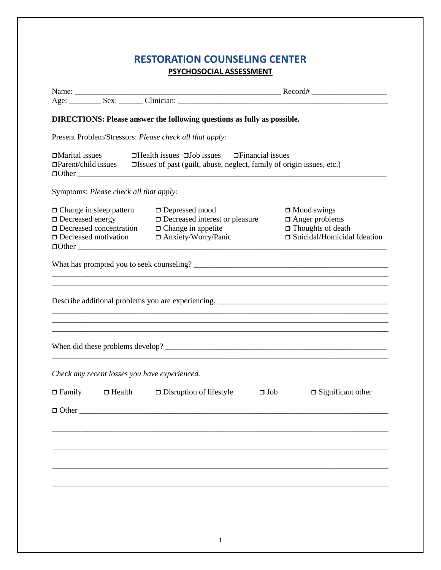## RESTORATION COUNSELING CENTER PSYCHOSOCIAL ASSESSMENT

|                                                                                                                                          | <b>DIRECTIONS: Please answer the following questions as fully as possible.</b>                                                                                                                            |                                                                                                          |
|------------------------------------------------------------------------------------------------------------------------------------------|-----------------------------------------------------------------------------------------------------------------------------------------------------------------------------------------------------------|----------------------------------------------------------------------------------------------------------|
| Present Problem/Stressors: Please check all that apply:                                                                                  |                                                                                                                                                                                                           |                                                                                                          |
| $\Box$ Marital issues                                                                                                                    | $\Box$ Health issues $\Box$ Job issues $\Box$ Financial issues<br>$\Box$ Parent/child issues $\Box$ Issues of past (guilt, abuse, neglect, family of origin issues, etc.)                                 |                                                                                                          |
| Symptoms: Please check all that apply:                                                                                                   |                                                                                                                                                                                                           |                                                                                                          |
| $\Box$ Change in sleep pattern<br>$\Box$ Decreased energy $\Box$ Decreased interest of Decreased concentration $\Box$ Change in appetite | $\Box$ Depressed mood<br>$\Box$ Decreased interest or pleasure<br>□ Decreased concentration □ Change in appetite<br>□ Decreased motivation □ Anxiety/Worry/Panic                                          | $\Box$ Mood swings<br>$\Box$ Anger problems<br>$\Box$ Thoughts of death<br>□ Suicidal/Homicidal Ideation |
|                                                                                                                                          |                                                                                                                                                                                                           |                                                                                                          |
|                                                                                                                                          | Describe additional problems you are experiencing. ______________________________<br><u> 1989 - Johann Barn, amerikan bernama di sebagai bernama di sebagai bernama di sebagai bernama di sebagai ber</u> |                                                                                                          |
| Check any recent losses you have experienced.                                                                                            |                                                                                                                                                                                                           |                                                                                                          |
| $\Box$ Other                                                                                                                             | $\Box$ Family $\Box$ Health $\Box$ Disruption of lifestyle $\Box$ Job                                                                                                                                     | $\Box$ Significant other                                                                                 |
|                                                                                                                                          |                                                                                                                                                                                                           |                                                                                                          |
|                                                                                                                                          |                                                                                                                                                                                                           |                                                                                                          |
|                                                                                                                                          |                                                                                                                                                                                                           |                                                                                                          |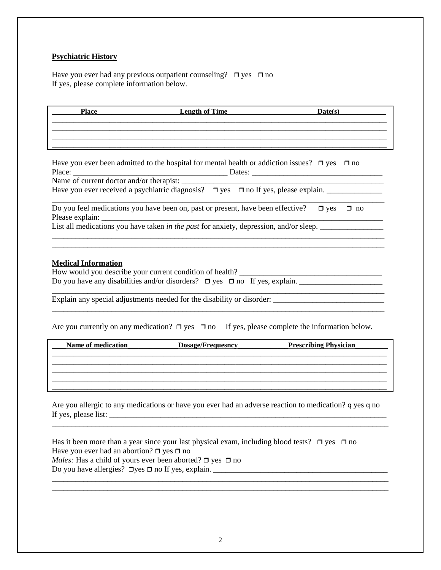## **Psychiatric History**

Have you ever had any previous outpatient counseling?  $\Box$  yes  $\Box$  no If yes, please complete information below.

| <b>Place</b> | <b>Length of Time</b> | Date(s) |
|--------------|-----------------------|---------|
|              |                       |         |
|              |                       |         |

| Have you ever been admitted to the hospital for mental health or addiction issues? $\Box$ yes $\Box$ no |                                                           |  |  |  |
|---------------------------------------------------------------------------------------------------------|-----------------------------------------------------------|--|--|--|
|                                                                                                         | Dates: $\frac{1}{\sqrt{1-\frac{1}{2}} \cdot \frac{1}{2}}$ |  |  |  |
|                                                                                                         |                                                           |  |  |  |
| Have you ever received a psychiatric diagnosis? $\Box$ yes $\Box$ no If yes, please explain.            |                                                           |  |  |  |
| Do you feel medications you have been on, past or present, have been effective?                         | $\Box$ yes<br>$\Box$ no                                   |  |  |  |
|                                                                                                         |                                                           |  |  |  |
| List all medications you have taken in the past for anxiety, depression, and/or sleep.                  |                                                           |  |  |  |

\_\_\_\_\_\_\_\_\_\_\_\_\_\_\_\_\_\_\_\_\_\_\_\_\_\_\_\_\_\_\_\_\_\_\_\_\_\_\_\_\_\_\_\_\_\_\_\_\_\_\_\_\_\_\_\_\_\_\_\_\_\_\_\_\_\_\_\_\_\_\_\_\_\_\_\_\_\_\_\_\_\_\_\_

## **Medical Information**

| How would you describe your current condition of health?                             |  |  |  |  |  |
|--------------------------------------------------------------------------------------|--|--|--|--|--|
| Do you have any disabilities and/or disorders? $\Box$ yes $\Box$ no If yes, explain. |  |  |  |  |  |

Explain any special adjustments needed for the disability or disorder: \_\_\_\_\_\_\_\_\_\_\_\_\_\_\_\_\_\_\_\_\_\_\_\_\_\_\_\_

Are you currently on any medication?  $\Box$  yes  $\Box$  no If yes, please complete the information below.

| Name of medication | <b>Dosage/Frequesncy</b> | <b>Prescribing Physician</b> |
|--------------------|--------------------------|------------------------------|
|                    |                          |                              |
|                    |                          |                              |
|                    |                          |                              |
|                    |                          |                              |

Are you allergic to any medications or have you ever had an adverse reaction to medication? q yes q no If yes, please list: \_\_\_\_\_\_\_\_\_\_\_\_\_\_\_\_\_\_\_\_\_\_\_\_\_\_\_\_\_\_\_\_\_\_\_\_\_\_\_\_\_\_\_\_\_\_\_\_\_\_\_\_\_\_\_\_\_\_\_\_\_\_\_\_\_\_\_\_\_\_

\_\_\_\_\_\_\_\_\_\_\_\_\_\_\_\_\_\_\_\_\_\_\_\_\_\_\_\_\_\_\_\_\_\_\_\_\_\_\_\_\_\_\_\_\_\_\_\_\_\_\_\_\_\_\_\_\_\_\_\_\_\_\_\_\_\_\_\_\_\_\_\_\_\_\_\_\_\_\_\_\_\_\_\_\_

\_\_\_\_\_\_\_\_\_\_\_\_\_\_\_\_\_\_\_\_\_\_\_\_\_\_\_\_\_\_\_\_\_\_\_\_\_\_\_\_\_\_\_\_\_\_\_\_\_\_\_\_\_\_\_\_\_\_\_\_\_\_\_\_\_\_\_\_\_\_\_\_\_\_\_\_\_\_\_\_\_\_\_\_\_ \_\_\_\_\_\_\_\_\_\_\_\_\_\_\_\_\_\_\_\_\_\_\_\_\_\_\_\_\_\_\_\_\_\_\_\_\_\_\_\_\_\_\_\_\_\_\_\_\_\_\_\_\_\_\_\_\_\_\_\_\_\_\_\_\_\_\_\_\_\_\_\_\_\_\_\_\_\_\_\_\_\_\_\_\_

| Has it been more than a year since your last physical exam, including blood tests? $\Box$ yes $\Box$ no |  |
|---------------------------------------------------------------------------------------------------------|--|
| Have you ever had an abortion? $\Box$ yes $\Box$ no                                                     |  |
| <i>Males:</i> Has a child of yours ever been aborted? $\Box$ yes $\Box$ no                              |  |
| Do you have allergies? $\Box$ yes $\Box$ no If yes, explain.                                            |  |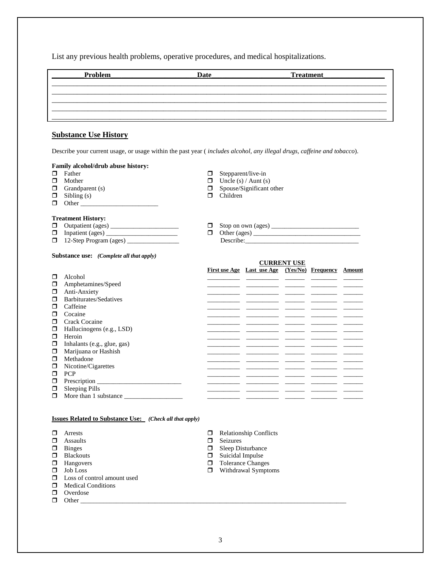List any previous health problems, operative procedures, and medical hospitalizations.

| Problem | Date | Treatment |  |
|---------|------|-----------|--|
|         |      |           |  |
|         |      |           |  |
|         |      |           |  |

## **Substance Use History**

Describe your current usage, or usage within the past year ( *includes alcohol, any illegal drugs, caffeine and tobacco*).

# **Family alcohol/drub abuse history:**

- 
- 
- 
- $\Box$  Sibling (s)  $\Box$  Children
- $\Box$  Other

#### **Treatment History:**

- 
- 
- $\Box$  12-Step Program (ages)  $\_\_\_\_\_\_\$

#### **Substance use:** *(Complete all that apply)*

 $\Box$  Mother  $\Box$  Mother  $\Box$  Uncle (s) / Aunt (s)  $\Box$  Spouse/Significant (s)  $\Box$  Spouse/Significant other

 $\Box$  Stepparent/live-in

- 
- Outpatient (ages) \_\_\_\_\_\_\_\_\_\_\_\_\_\_\_\_\_\_\_\_\_ Stop on own (ages) \_\_\_\_\_\_\_\_\_\_\_\_\_\_\_\_\_\_\_\_\_\_\_\_\_\_\_
- Inpatient (ages) \_\_\_\_\_\_\_\_\_\_\_\_\_\_\_\_\_\_\_\_\_\_ Other (ages) \_\_\_\_\_\_\_\_\_\_\_\_\_\_\_\_\_\_\_\_\_\_\_\_\_\_\_\_\_\_\_\_\_

#### **CURRENT USE**

|   |                             | First use Age Last use Age (Yes/No) Frequency Amount                                                                 |  |  |
|---|-----------------------------|----------------------------------------------------------------------------------------------------------------------|--|--|
| □ | Alcohol                     |                                                                                                                      |  |  |
| ◘ | Amphetamines/Speed          |                                                                                                                      |  |  |
| □ | Anti-Anxiety                |                                                                                                                      |  |  |
| □ | Barbiturates/Sedatives      |                                                                                                                      |  |  |
| □ | Caffeine                    |                                                                                                                      |  |  |
| □ | Cocaine                     |                                                                                                                      |  |  |
| □ | Crack Cocaine               |                                                                                                                      |  |  |
| ◻ | Hallucinogens (e.g., LSD)   | <u> 2000 - 2000 - 2000 - 2000 - 2000 - 2000 - 2000 - 2000 - 2000 - 2000 - 2000 - 2000 - 2000 - 2000 - 2000 - 200</u> |  |  |
| □ | Heroin                      |                                                                                                                      |  |  |
| □ | Inhalants (e.g., glue, gas) |                                                                                                                      |  |  |
| ◻ | Marijuana or Hashish        |                                                                                                                      |  |  |
| ⊓ | Methadone                   |                                                                                                                      |  |  |
| □ | Nicotine/Cigarettes         |                                                                                                                      |  |  |
| ⊓ | <b>PCP</b>                  |                                                                                                                      |  |  |
| □ | Prescription                |                                                                                                                      |  |  |
| □ | Sleeping Pills              |                                                                                                                      |  |  |
| ◘ | More than 1 substance       |                                                                                                                      |  |  |
|   |                             |                                                                                                                      |  |  |

#### **Issues Related to Substance Use:** *(Check all that apply)*

- 
- 
- 
- 
- 
- $\square$  Loss of control amount used  $\Box$  Medical Conditions
- **D** Overdose
- Other \_\_\_\_\_\_\_\_\_\_\_\_\_\_\_\_\_\_\_\_\_\_\_\_\_\_\_\_\_\_\_\_\_\_\_\_\_\_\_\_\_\_\_\_\_\_\_\_\_\_\_\_\_\_\_\_\_\_\_\_\_\_\_\_\_\_\_\_\_\_\_\_\_\_\_\_\_\_\_\_\_\_
- $\Box$  Relationship Conflicts
- $\Box$  Assaults  $\Box$  Seizures  $\Box$  Seizures  $\Box$  Seizures  $\Box$  Seizures  $\Box$  Seizures  $\Box$  Seep Dis
- $\begin{array}{ccc}\n\square & \text{Binges} \\
\square & \text{Blackouts}\n\end{array}$   $\begin{array}{ccc}\n\square & \text{Sleep Disturbance} \\
\square & \text{Suicial Impulse}\n\end{array}$ 
	-
- $\Box$  Blackouts  $\Box$  Suicidal Impulse  $\Box$  Suicidal Impulse  $\Box$  Suicidal Impulse □ Hangovers □ Tolerance Changes<br>□ Job Loss □ Withdrawal Sympte
	- $\hfill\Box$  Withdrawal Symptoms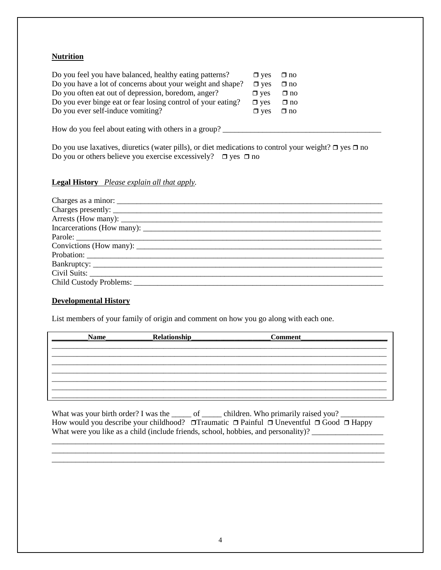## **Nutrition**

| Do you feel you have balanced, healthy eating patterns?      | $\Box$ yes | $\square$ no |
|--------------------------------------------------------------|------------|--------------|
| Do you have a lot of concerns about your weight and shape?   | $\Box$ ves | $\Box$ no    |
| Do you often eat out of depression, boredom, anger?          | $\Box$ ves | $\Box$ no    |
| Do you ever binge eat or fear losing control of your eating? | $\Box$ ves | $\Box$ no    |
| Do you ever self-induce vomiting?                            | $\Box$ yes | $\Box$ no    |

How do you feel about eating with others in a group? \_\_\_\_\_\_\_\_\_\_\_\_\_\_\_\_\_\_\_\_\_\_\_\_\_\_\_\_\_\_\_\_\_\_\_\_\_\_\_\_

Do you use laxatives, diuretics (water pills), or diet medications to control your weight?  $\Box$  yes  $\Box$  no Do you or others believe you exercise excessively?  $\Box$  yes  $\Box$  no

## **Legal History** *Please explain all that apply.*

## **Developmental History**

List members of your family of origin and comment on how you go along with each one.

| <b>Name</b> | Relationship | <b>Comment</b> |  |
|-------------|--------------|----------------|--|
|             |              |                |  |
|             |              |                |  |
|             |              |                |  |
|             |              |                |  |
|             |              |                |  |
|             |              |                |  |

What was your birth order? I was the \_\_\_\_\_ of \_\_\_\_\_ children. Who primarily raised you? \_\_\_\_\_\_\_\_\_\_\_ How would you describe your childhood?  $\Box$  Traumatic  $\Box$  Painful  $\Box$  Uneventful  $\Box$  Good  $\Box$  Happy What were you like as a child (include friends, school, hobbies, and personality)?

\_\_\_\_\_\_\_\_\_\_\_\_\_\_\_\_\_\_\_\_\_\_\_\_\_\_\_\_\_\_\_\_\_\_\_\_\_\_\_\_\_\_\_\_\_\_\_\_\_\_\_\_\_\_\_\_\_\_\_\_\_\_\_\_\_\_\_\_\_\_\_\_\_\_\_\_\_\_\_\_\_\_\_\_ \_\_\_\_\_\_\_\_\_\_\_\_\_\_\_\_\_\_\_\_\_\_\_\_\_\_\_\_\_\_\_\_\_\_\_\_\_\_\_\_\_\_\_\_\_\_\_\_\_\_\_\_\_\_\_\_\_\_\_\_\_\_\_\_\_\_\_\_\_\_\_\_\_\_\_\_\_\_\_\_\_\_\_\_ \_\_\_\_\_\_\_\_\_\_\_\_\_\_\_\_\_\_\_\_\_\_\_\_\_\_\_\_\_\_\_\_\_\_\_\_\_\_\_\_\_\_\_\_\_\_\_\_\_\_\_\_\_\_\_\_\_\_\_\_\_\_\_\_\_\_\_\_\_\_\_\_\_\_\_\_\_\_\_\_\_\_\_\_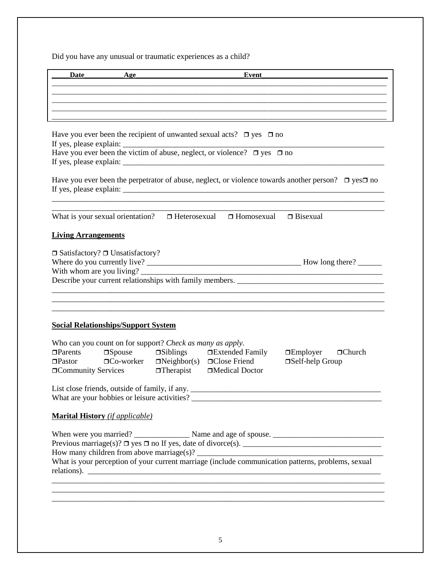Did you have any unusual or traumatic experiences as a child?

| Date<br>Age                                                                                                                                                          |                                                                                                                                     | Event           |                                                                                                                |  |
|----------------------------------------------------------------------------------------------------------------------------------------------------------------------|-------------------------------------------------------------------------------------------------------------------------------------|-----------------|----------------------------------------------------------------------------------------------------------------|--|
|                                                                                                                                                                      |                                                                                                                                     |                 |                                                                                                                |  |
|                                                                                                                                                                      |                                                                                                                                     |                 |                                                                                                                |  |
|                                                                                                                                                                      |                                                                                                                                     |                 |                                                                                                                |  |
| Have you ever been the recipient of unwanted sexual acts? $\Box$ yes $\Box$ no<br>Have you ever been the victim of abuse, neglect, or violence? $\Box$ yes $\Box$ no |                                                                                                                                     |                 |                                                                                                                |  |
|                                                                                                                                                                      |                                                                                                                                     |                 |                                                                                                                |  |
|                                                                                                                                                                      |                                                                                                                                     |                 | Have you ever been the perpetrator of abuse, neglect, or violence towards another person? $\Box$ yes $\Box$ no |  |
| What is your sexual orientation?<br>$\Box$ Heterosexual $\Box$ Homosexual<br>$\Box$ Bisexual                                                                         |                                                                                                                                     |                 |                                                                                                                |  |
| <b>Living Arrangements</b>                                                                                                                                           |                                                                                                                                     |                 |                                                                                                                |  |
| $\Box$ Satisfactory? $\Box$ Unsatisfactory?<br>With whom are you living?                                                                                             | $\overline{\phantom{a}}$                                                                                                            |                 |                                                                                                                |  |
| <b>Social Relationships/Support System</b>                                                                                                                           |                                                                                                                                     |                 |                                                                                                                |  |
| Who can you count on for support? Check as many as apply.<br>$\Box$ Parents<br>$\Box$ Pastor<br><b>Order Community Services</b>                                      | $\Box$ Spouse $\Box$ Siblings $\Box$ Extended Family<br>$\Box$ Co-worker $\Box$ Neighbor(s) $\Box$ Close Friend<br>$\Box$ Therapist | □Medical Doctor | $\Box$ Church<br>$\Box$ Employer<br>□Self-help Group                                                           |  |
|                                                                                                                                                                      |                                                                                                                                     |                 |                                                                                                                |  |
| <b>Marital History</b> (if applicable)                                                                                                                               |                                                                                                                                     |                 |                                                                                                                |  |
|                                                                                                                                                                      |                                                                                                                                     |                 | What is your perception of your current marriage (include communication patterns, problems, sexual             |  |
|                                                                                                                                                                      |                                                                                                                                     |                 |                                                                                                                |  |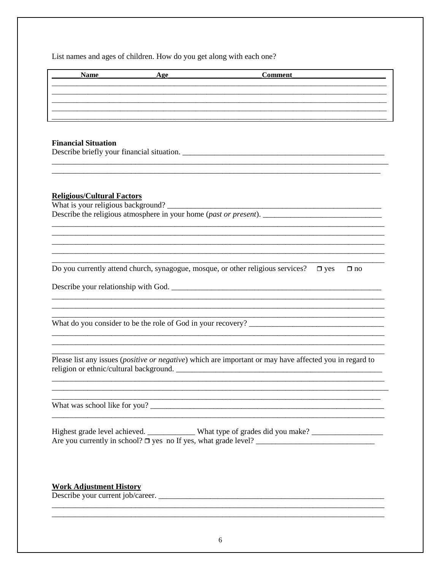List names and ages of children. How do you get along with each one?

| <b>Name</b>                                                                                | Age | Comment                                                                                                          |  |
|--------------------------------------------------------------------------------------------|-----|------------------------------------------------------------------------------------------------------------------|--|
|                                                                                            |     |                                                                                                                  |  |
|                                                                                            |     |                                                                                                                  |  |
|                                                                                            |     |                                                                                                                  |  |
|                                                                                            |     |                                                                                                                  |  |
| <b>Financial Situation</b>                                                                 |     |                                                                                                                  |  |
|                                                                                            |     |                                                                                                                  |  |
|                                                                                            |     |                                                                                                                  |  |
|                                                                                            |     |                                                                                                                  |  |
| <b>Religious/Cultural Factors</b>                                                          |     |                                                                                                                  |  |
|                                                                                            |     |                                                                                                                  |  |
|                                                                                            |     |                                                                                                                  |  |
|                                                                                            |     |                                                                                                                  |  |
|                                                                                            |     |                                                                                                                  |  |
|                                                                                            |     |                                                                                                                  |  |
| Do you currently attend church, synagogue, mosque, or other religious services? $\Box$ yes |     | $\Box$ no                                                                                                        |  |
| Describe your relationship with God.                                                       |     |                                                                                                                  |  |
|                                                                                            |     |                                                                                                                  |  |
|                                                                                            |     |                                                                                                                  |  |
|                                                                                            |     |                                                                                                                  |  |
|                                                                                            |     |                                                                                                                  |  |
|                                                                                            |     |                                                                                                                  |  |
| religion or ethnic/cultural background.                                                    |     | Please list any issues ( <i>positive or negative</i> ) which are important or may have affected you in regard to |  |
|                                                                                            |     |                                                                                                                  |  |
|                                                                                            |     |                                                                                                                  |  |
|                                                                                            |     |                                                                                                                  |  |
|                                                                                            |     |                                                                                                                  |  |
|                                                                                            |     | Highest grade level achieved. ___________ What type of grades did you make? _______________________              |  |
|                                                                                            |     |                                                                                                                  |  |
|                                                                                            |     |                                                                                                                  |  |
|                                                                                            |     |                                                                                                                  |  |
| <b>Work Adjustment History</b>                                                             |     |                                                                                                                  |  |
|                                                                                            |     |                                                                                                                  |  |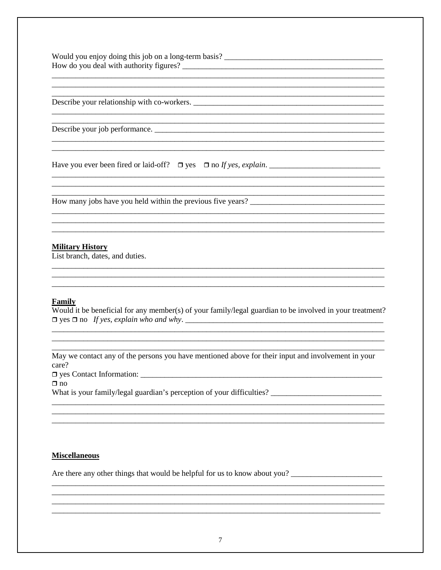Would you enjoy doing this job on a long-term basis? 

Describe your relationship with co-workers.

Describe your job performance.

Have you ever been fired or laid-off?  $\Box$  yes  $\Box$  no If yes, explain.

### **Military History**

List branch, dates, and duties.

#### Family

Would it be beneficial for any member(s) of your family/legal guardian to be involved in your treatment? 

May we contact any of the persons you have mentioned above for their input and involvement in your care? 

 $\Box$  no

What is your family/legal guardian's perception of your difficulties? \_\_\_\_\_\_\_\_\_

#### **Miscellaneous**

Are there any other things that would be helpful for us to know about you?